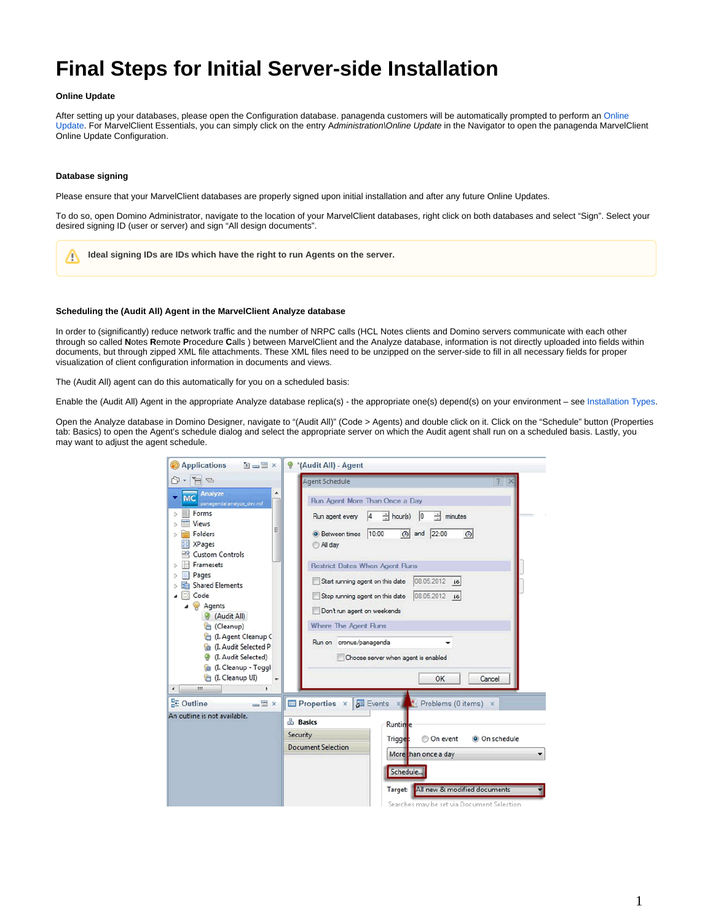# **Final Steps for Initial Server-side Installation**

### **Online Update**

After setting up your databases, please open the Configuration database. panagenda customers will be automatically prompted to perform an Online [Update](http://kbase-prod-01.panagenda.local:8090/kbase/pages/viewpage.action?pageId=15239230). For MarvelClient Essentials, you can simply click on the entry Administration\Online Update in the Navigator to open the panagenda MarvelClient Online Update Configuration.

#### **Database signing**

Please ensure that your MarvelClient databases are properly signed upon initial installation and after any future Online Updates.

To do so, open Domino Administrator, navigate to the location of your MarvelClient databases, right click on both databases and select "Sign". Select your desired signing ID (user or server) and sign "All design documents".

**Ideal signing IDs are IDs which have the right to run Agents on the server.**Λ

#### **Scheduling the (Audit All) Agent in the MarvelClient Analyze database**

In order to (significantly) reduce network traffic and the number of NRPC calls (HCL Notes clients and Domino servers communicate with each other through so called **N**otes **R**emote **P**rocedure **C**alls ) between MarvelClient and the Analyze database, information is not directly uploaded into fields within documents, but through zipped XML file attachments. These XML files need to be unzipped on the server-side to fill in all necessary fields for proper visualization of client configuration information in documents and views.

The (Audit All) agent can do this automatically for you on a scheduled basis:

Enable the (Audit All) Agent in the appropriate Analyze database replica(s) - the appropriate one(s) depend(s) on your environment – see [Installation Types.](http://kbase-prod-01.panagenda.local:8090/kbase/display/mc/Installation+Types)

Open the Analyze database in Domino Designer, navigate to "(Audit All)" (Code > Agents) and double click on it. Click on the "Schedule" button (Properties tab: Basics) to open the Agent's schedule dialog and select the appropriate server on which the Audit agent shall run on a scheduled basis. Lastly, you may want to adjust the agent schedule.

| <b>Applications</b><br><b>THE</b>                                                                                                                                                                                                                                                                                                                                                                | <sup>9</sup> *(Audit All) - Agent                                                                                                                                                                                                                                                                                                                                                                                                                             |
|--------------------------------------------------------------------------------------------------------------------------------------------------------------------------------------------------------------------------------------------------------------------------------------------------------------------------------------------------------------------------------------------------|---------------------------------------------------------------------------------------------------------------------------------------------------------------------------------------------------------------------------------------------------------------------------------------------------------------------------------------------------------------------------------------------------------------------------------------------------------------|
| 门 -<br>FB                                                                                                                                                                                                                                                                                                                                                                                        | <b>Agent Schedule</b><br>$\frac{1}{2}$                                                                                                                                                                                                                                                                                                                                                                                                                        |
| Analyze<br><b>MC</b><br>panagenda\analyze_dev.nsf<br>Forms<br>Views<br>Ξ<br>Folders<br><b>XPages</b><br><b>Custom Controls</b><br>Framesets<br>Pages<br><b>Shared Elements</b><br>Code<br>Agents<br>Audit All)<br>Cleanup)<br>(I. Agent Cleanup C<br><b>Re</b> (I. Audit Selected P<br>(I. Audit Selected)<br>₩<br><b>Ca</b> (I. Cleanup - Toggl<br>(I. Cleanup UI)<br>$\overline{ }$<br>m.<br>٠ | Run Agent More Than Once a Day<br>$\div$ hour(s) 0<br>14<br>÷<br>Run agent every<br>minutes<br><b>O</b> Between times 10:00<br>(6) and 22:00<br>$\odot$<br>All day<br><b>Restrict Dates When Agent Runs</b><br>08.05.2012 16<br>Start running agent on this date<br>08.05.2012 16<br>Stop running agent on this date<br>Don't run agent on weekends<br>Where The Agent Runs<br>Run on cronus/panagenda<br>Choose server when agent is enabled<br>OK<br>Cancel |
| <b>RE</b> Outline<br>× 巴山<br>An outline is not available.                                                                                                                                                                                                                                                                                                                                        | Properties × <b>F</b> Events × <b>Problems</b> (0 items) ×<br><b>Basics</b><br>Runtime<br>Security<br>© On event<br>Trigge:<br>O On schedule<br><b>Document Selection</b><br>More than once a day<br>Schedule<br>All new & modified documents<br>Target:<br>Searches may be set via Document Selection                                                                                                                                                        |